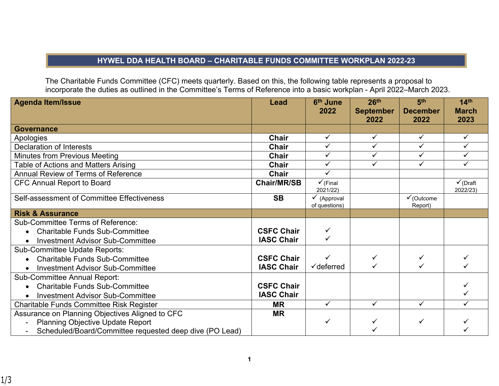## **HYWEL DDA HEALTH BOARD – CHARITABLE FUNDS COMMITTEE WORKPLAN 2022-23**

The Charitable Funds Committee (CFC) meets quarterly. Based on this, the following table represents a proposal to incorporate the duties as outlined in the Committee's Terms of Reference into a basic workplan - April 2022–March 2023.

| <b>Agenda Item/Issue</b>                                | Lead               | 6th June              | 26 <sup>th</sup> | 5 <sup>th</sup>       | 14 <sup>th</sup>    |
|---------------------------------------------------------|--------------------|-----------------------|------------------|-----------------------|---------------------|
|                                                         |                    | 2022                  | <b>September</b> | <b>December</b>       | <b>March</b>        |
|                                                         |                    |                       | 2022             | 2022                  | 2023                |
| <b>Governance</b>                                       |                    |                       |                  |                       |                     |
| Apologies                                               | Chair              | $\checkmark$          | $\checkmark$     | $\checkmark$          | ✓                   |
| <b>Declaration of Interests</b>                         | Chair              | ✓                     | ✓                | ✓                     | ✓                   |
| <b>Minutes from Previous Meeting</b>                    | <b>Chair</b>       | $\checkmark$          | ✓                | ✓                     |                     |
| Table of Actions and Matters Arising                    | Chair              | ✓                     | ✓                | $\checkmark$          | ✓                   |
| Annual Review of Terms of Reference                     | Chair              | $\checkmark$          |                  |                       |                     |
| <b>CFC Annual Report to Board</b>                       | <b>Chair/MR/SB</b> | $\checkmark$ (Final   |                  |                       | $\checkmark$ (Draft |
|                                                         |                    | 2021/22)              |                  |                       | 2022/23)            |
| Self-assessment of Committee Effectiveness              | <b>SB</b>          | (Approval             |                  | $\checkmark$ (Outcome |                     |
|                                                         |                    | of questions)         |                  | Report)               |                     |
| <b>Risk &amp; Assurance</b>                             |                    |                       |                  |                       |                     |
| <b>Sub-Committee Terms of Reference:</b>                |                    |                       |                  |                       |                     |
| <b>Charitable Funds Sub-Committee</b><br>$\bullet$      | <b>CSFC Chair</b>  | $\checkmark$          |                  |                       |                     |
| <b>Investment Advisor Sub-Committee</b><br>$\bullet$    | <b>IASC Chair</b>  |                       |                  |                       |                     |
| Sub-Committee Update Reports:                           |                    |                       |                  |                       |                     |
| <b>Charitable Funds Sub-Committee</b>                   | <b>CSFC Chair</b>  | ✓                     | $\checkmark$     | ✓                     |                     |
| <b>Investment Advisor Sub-Committee</b>                 | <b>IASC Chair</b>  | $\checkmark$ deferred |                  |                       |                     |
| <b>Sub-Committee Annual Report:</b>                     |                    |                       |                  |                       |                     |
| <b>Charitable Funds Sub-Committee</b><br>$\bullet$      | <b>CSFC Chair</b>  |                       |                  |                       |                     |
| <b>Investment Advisor Sub-Committee</b><br>$\bullet$    | <b>IASC Chair</b>  |                       |                  |                       |                     |
| <b>Charitable Funds Committee Risk Register</b>         | <b>MR</b>          | $\checkmark$          | $\checkmark$     | $\checkmark$          |                     |
| Assurance on Planning Objectives Aligned to CFC         | MR                 |                       |                  |                       |                     |
| <b>Planning Objective Update Report</b>                 |                    | ✓                     |                  | ✓                     |                     |
| Scheduled/Board/Committee requested deep dive (PO Lead) |                    |                       |                  |                       |                     |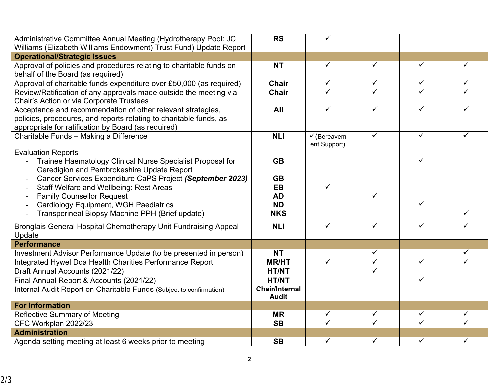| Administrative Committee Annual Meeting (Hydrotherapy Pool: JC                                               | <b>RS</b>              | ✓                                      |                              |                              |                         |
|--------------------------------------------------------------------------------------------------------------|------------------------|----------------------------------------|------------------------------|------------------------------|-------------------------|
| Williams (Elizabeth Williams Endowment) Trust Fund) Update Report<br><b>Operational/Strategic Issues</b>     |                        |                                        |                              |                              |                         |
| Approval of policies and procedures relating to charitable funds on                                          | <b>NT</b>              | $\checkmark$                           | $\checkmark$                 | $\checkmark$                 | ✓                       |
| behalf of the Board (as required)                                                                            |                        |                                        |                              |                              |                         |
| Approval of charitable funds expenditure over £50,000 (as required)                                          | <b>Chair</b>           | $\checkmark$                           | $\checkmark$                 | $\checkmark$                 | $\checkmark$            |
| Review/Ratification of any approvals made outside the meeting via                                            | <b>Chair</b>           | $\checkmark$                           | $\checkmark$                 | $\overline{\checkmark}$      | ✓                       |
| <b>Chair's Action or via Corporate Trustees</b>                                                              |                        |                                        |                              |                              |                         |
| Acceptance and recommendation of other relevant strategies,                                                  | All                    | $\checkmark$                           | $\checkmark$                 | $\checkmark$                 |                         |
| policies, procedures, and reports relating to charitable funds, as                                           |                        |                                        |                              |                              |                         |
| appropriate for ratification by Board (as required)                                                          |                        |                                        |                              |                              |                         |
| Charitable Funds - Making a Difference                                                                       | <b>NLI</b>             | $\checkmark$ (Bereavem<br>ent Support) | $\checkmark$                 | $\checkmark$                 | $\checkmark$            |
| <b>Evaluation Reports</b>                                                                                    |                        |                                        |                              |                              |                         |
| Trainee Haematology Clinical Nurse Specialist Proposal for                                                   | <b>GB</b>              |                                        |                              | ✓                            |                         |
| Ceredigion and Pembrokeshire Update Report                                                                   |                        |                                        |                              |                              |                         |
| Cancer Services Expenditure CaPS Project (September 2023)<br>$\blacksquare$                                  | <b>GB</b>              | ✓                                      |                              |                              |                         |
| <b>Staff Welfare and Wellbeing: Rest Areas</b>                                                               | <b>EB</b><br><b>AD</b> |                                        |                              |                              |                         |
| <b>Family Counsellor Request</b><br>$\overline{\phantom{a}}$<br><b>Cardiology Equipment, WGH Paediatrics</b> | <b>ND</b>              |                                        |                              | ✓                            |                         |
| $\blacksquare$<br>Transperineal Biopsy Machine PPH (Brief update)<br>$\overline{\phantom{a}}$                | <b>NKS</b>             |                                        |                              |                              | $\checkmark$            |
|                                                                                                              | <b>NLI</b>             | $\checkmark$                           | $\checkmark$                 | $\checkmark$                 | ✓                       |
| Bronglais General Hospital Chemotherapy Unit Fundraising Appeal<br>Update                                    |                        |                                        |                              |                              |                         |
| <b>Performance</b>                                                                                           |                        |                                        |                              |                              |                         |
| Investment Advisor Performance Update (to be presented in person)                                            | <b>NT</b>              |                                        | $\checkmark$                 |                              | $\checkmark$            |
| Integrated Hywel Dda Health Charities Performance Report                                                     | <b>MR/HT</b>           | $\checkmark$                           | $\overline{\checkmark}$      | $\overline{\checkmark}$      | $\overline{\checkmark}$ |
| Draft Annual Accounts (2021/22)                                                                              | <b>HT/NT</b>           |                                        | $\checkmark$                 |                              |                         |
| Final Annual Report & Accounts (2021/22)                                                                     | <b>HT/NT</b>           |                                        |                              | $\checkmark$                 |                         |
| Internal Audit Report on Charitable Funds (Subject to confirmation)                                          | <b>Chair/Internal</b>  |                                        |                              |                              |                         |
|                                                                                                              | <b>Audit</b>           |                                        |                              |                              |                         |
| <b>For Information</b>                                                                                       |                        |                                        |                              |                              |                         |
| Reflective Summary of Meeting                                                                                | <b>MR</b>              | $\checkmark$<br>✓                      | $\checkmark$<br>$\checkmark$ | $\checkmark$<br>$\checkmark$ | $\checkmark$<br>✓       |
| CFC Workplan 2022/23<br><b>Administration</b>                                                                | <b>SB</b>              |                                        |                              |                              |                         |
| Agenda setting meeting at least 6 weeks prior to meeting                                                     | <b>SB</b>              | $\checkmark$                           | $\overline{\checkmark}$      | $\overline{\checkmark}$      | $\checkmark$            |
|                                                                                                              |                        |                                        |                              |                              |                         |